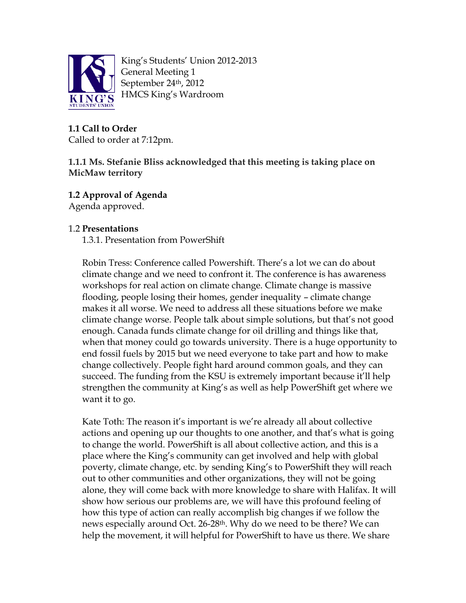

King's Students' Union 2012-2013 General Meeting 1 September 24th, 2012 HMCS King's Wardroom

**1.1 Call to Order** Called to order at 7:12pm.

## **1.1.1 Ms. Stefanie Bliss acknowledged that this meeting is taking place on MicMaw territory**

**1.2 Approval of Agenda** 

Agenda approved.

# 1.2 **Presentations**

1.3.1. Presentation from PowerShift

Robin Tress: Conference called Powershift. There's a lot we can do about climate change and we need to confront it. The conference is has awareness workshops for real action on climate change. Climate change is massive flooding, people losing their homes, gender inequality – climate change makes it all worse. We need to address all these situations before we make climate change worse. People talk about simple solutions, but that's not good enough. Canada funds climate change for oil drilling and things like that, when that money could go towards university. There is a huge opportunity to end fossil fuels by 2015 but we need everyone to take part and how to make change collectively. People fight hard around common goals, and they can succeed. The funding from the KSU is extremely important because it'll help strengthen the community at King's as well as help PowerShift get where we want it to go.

Kate Toth: The reason it's important is we're already all about collective actions and opening up our thoughts to one another, and that's what is going to change the world. PowerShift is all about collective action, and this is a place where the King's community can get involved and help with global poverty, climate change, etc. by sending King's to PowerShift they will reach out to other communities and other organizations, they will not be going alone, they will come back with more knowledge to share with Halifax. It will show how serious our problems are, we will have this profound feeling of how this type of action can really accomplish big changes if we follow the news especially around Oct. 26-28<sup>th</sup>. Why do we need to be there? We can help the movement, it will helpful for PowerShift to have us there. We share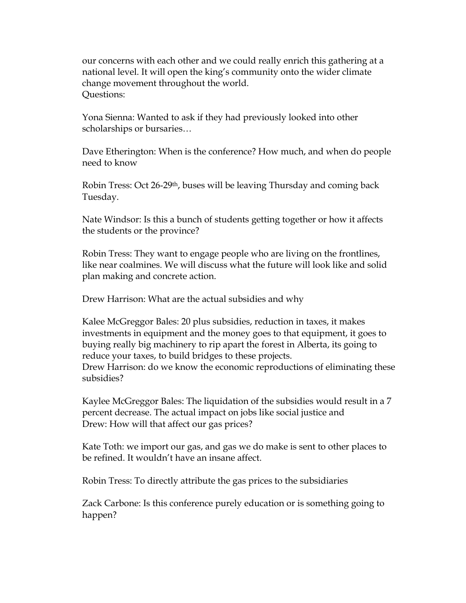our concerns with each other and we could really enrich this gathering at a national level. It will open the king's community onto the wider climate change movement throughout the world. Questions:

Yona Sienna: Wanted to ask if they had previously looked into other scholarships or bursaries…

Dave Etherington: When is the conference? How much, and when do people need to know

Robin Tress: Oct 26-29th, buses will be leaving Thursday and coming back Tuesday.

Nate Windsor: Is this a bunch of students getting together or how it affects the students or the province?

Robin Tress: They want to engage people who are living on the frontlines, like near coalmines. We will discuss what the future will look like and solid plan making and concrete action.

Drew Harrison: What are the actual subsidies and why

Kalee McGreggor Bales: 20 plus subsidies, reduction in taxes, it makes investments in equipment and the money goes to that equipment, it goes to buying really big machinery to rip apart the forest in Alberta, its going to reduce your taxes, to build bridges to these projects. Drew Harrison: do we know the economic reproductions of eliminating these subsidies?

Kaylee McGreggor Bales: The liquidation of the subsidies would result in a 7 percent decrease. The actual impact on jobs like social justice and Drew: How will that affect our gas prices?

Kate Toth: we import our gas, and gas we do make is sent to other places to be refined. It wouldn't have an insane affect.

Robin Tress: To directly attribute the gas prices to the subsidiaries

Zack Carbone: Is this conference purely education or is something going to happen?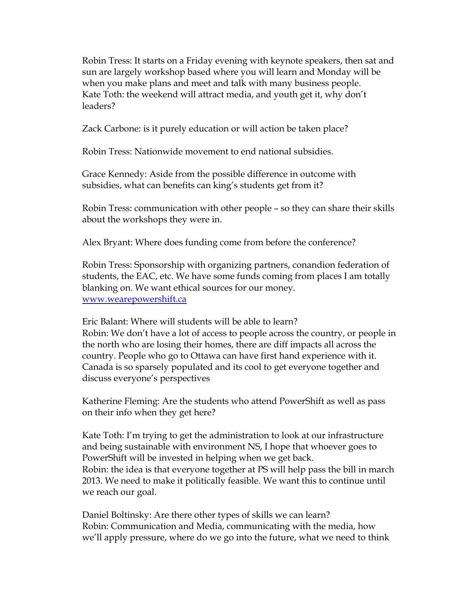Robin Tress: It starts on a Friday evening with keynote speakers, then sat and sun are largely workshop based where you will learn and Monday will be when you make plans and meet and talk with many business people. Kate Toth: the weekend will attract media, and youth get it, why don't leaders?

Zack Carbone: is it purely education or will action be taken place?

Robin Tress: Nationwide movement to end national subsidies.

Grace Kennedy: Aside from the possible difference in outcome with subsidies, what can benefits can king's students get from it?

Robin Tress: communication with other people – so they can share their skills about the workshops they were in.

Alex Bryant: Where does funding come from before the conference?

Robin Tress: Sponsorship with organizing partners, conandion federation of students, the EAC, etc. We have some funds coming from places I am totally blanking on. We want ethical sources for our money. [www.wearepowershift.ca](http://www.powershift.ca/)

Eric Balant: Where will students will be able to learn? Robin: We don't have a lot of access to people across the country, or people in the north who are losing their homes, there are diff impacts all across the country. People who go to Ottawa can have first hand experience with it. Canada is so sparsely populated and its cool to get everyone together and discuss everyone's perspectives

Katherine Fleming: Are the students who attend PowerShift as well as pass on their info when they get here?

Kate Toth: I'm trying to get the administration to look at our infrastructure and being sustainable with environment NS, I hope that whoever goes to PowerShift will be invested in helping when we get back. Robin: the idea is that everyone together at PS will help pass the bill in march 2013. We need to make it politically feasible. We want this to continue until we reach our goal.

Daniel Boltinsky: Are there other types of skills we can learn? Robin: Communication and Media, communicating with the media, how we'll apply pressure, where do we go into the future, what we need to think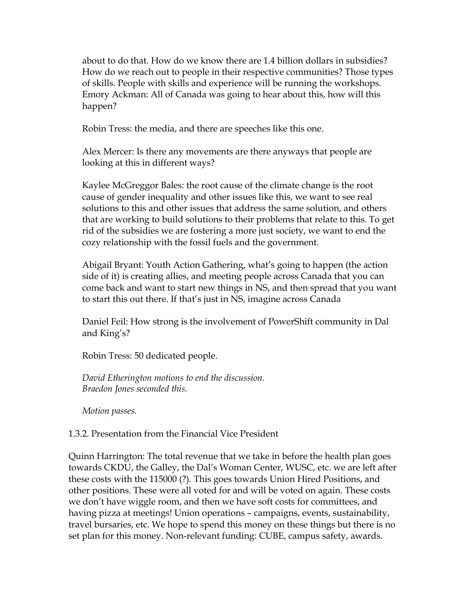about to do that. How do we know there are 1.4 billion dollars in subsidies? How do we reach out to people in their respective communities? Those types of skills. People with skills and experience will be running the workshops. Emory Ackman: All of Canada was going to hear about this, how will this happen?

Robin Tress: the media, and there are speeches like this one.

Alex Mercer: Is there any movements are there anyways that people are looking at this in different ways?

Kaylee McGreggor Bales: the root cause of the climate change is the root cause of gender inequality and other issues like this, we want to see real solutions to this and other issues that address the same solution, and others that are working to build solutions to their problems that relate to this. To get rid of the subsidies we are fostering a more just society, we want to end the cozy relationship with the fossil fuels and the government.

Abigail Bryant: Youth Action Gathering, what's going to happen (the action side of it) is creating allies, and meeting people across Canada that you can come back and want to start new things in NS, and then spread that you want to start this out there. If that's just in NS, imagine across Canada

Daniel Feil: How strong is the involvement of PowerShift community in Dal and King's?

Robin Tress: 50 dedicated people.

*David Etherington motions to end the discussion. Braedon Jones seconded this.* 

*Motion passes.* 

#### 1.3.2. Presentation from the Financial Vice President

Quinn Harrington: The total revenue that we take in before the health plan goes towards CKDU, the Galley, the Dal's Woman Center, WUSC, etc. we are left after these costs with the 115000 (?). This goes towards Union Hired Positions, and other positions. These were all voted for and will be voted on again. These costs we don't have wiggle room, and then we have soft costs for committees, and having pizza at meetings! Union operations – campaigns, events, sustainability, travel bursaries, etc. We hope to spend this money on these things but there is no set plan for this money. Non-relevant funding: CUBE, campus safety, awards.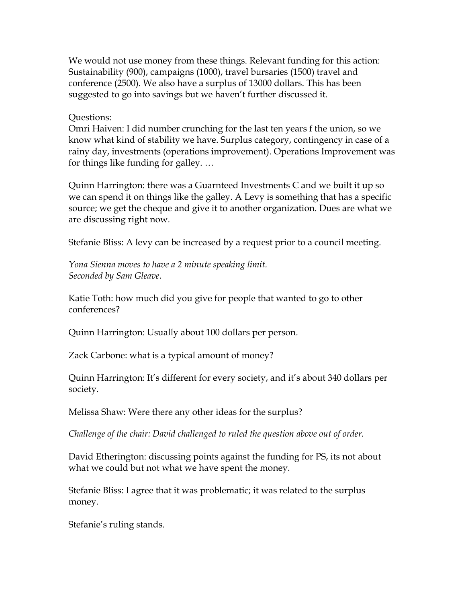We would not use money from these things. Relevant funding for this action: Sustainability (900), campaigns (1000), travel bursaries (1500) travel and conference (2500). We also have a surplus of 13000 dollars. This has been suggested to go into savings but we haven't further discussed it.

#### Questions:

Omri Haiven: I did number crunching for the last ten years f the union, so we know what kind of stability we have. Surplus category, contingency in case of a rainy day, investments (operations improvement). Operations Improvement was for things like funding for galley. …

Quinn Harrington: there was a Guarnteed Investments C and we built it up so we can spend it on things like the galley. A Levy is something that has a specific source; we get the cheque and give it to another organization. Dues are what we are discussing right now.

Stefanie Bliss: A levy can be increased by a request prior to a council meeting.

*Yona Sienna moves to have a 2 minute speaking limit. Seconded by Sam Gleave.*

Katie Toth: how much did you give for people that wanted to go to other conferences?

Quinn Harrington: Usually about 100 dollars per person.

Zack Carbone: what is a typical amount of money?

Quinn Harrington: It's different for every society, and it's about 340 dollars per society.

Melissa Shaw: Were there any other ideas for the surplus?

*Challenge of the chair: David challenged to ruled the question above out of order.* 

David Etherington: discussing points against the funding for PS, its not about what we could but not what we have spent the money.

Stefanie Bliss: I agree that it was problematic; it was related to the surplus money.

Stefanie's ruling stands.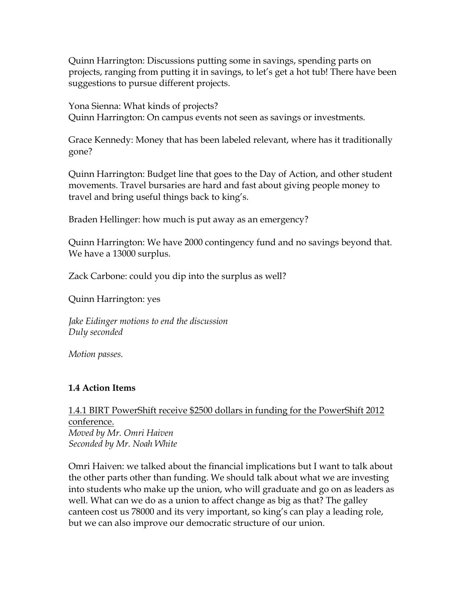Quinn Harrington: Discussions putting some in savings, spending parts on projects, ranging from putting it in savings, to let's get a hot tub! There have been suggestions to pursue different projects.

Yona Sienna: What kinds of projects? Quinn Harrington: On campus events not seen as savings or investments.

Grace Kennedy: Money that has been labeled relevant, where has it traditionally gone?

Quinn Harrington: Budget line that goes to the Day of Action, and other student movements. Travel bursaries are hard and fast about giving people money to travel and bring useful things back to king's.

Braden Hellinger: how much is put away as an emergency?

Quinn Harrington: We have 2000 contingency fund and no savings beyond that. We have a 13000 surplus.

Zack Carbone: could you dip into the surplus as well?

Quinn Harrington: yes

*Jake Eidinger motions to end the discussion Duly seconded*

*Motion passes.* 

### **1.4 Action Items**

### 1.4.1 BIRT PowerShift receive \$2500 dollars in funding for the PowerShift 2012 conference. *Moved by Mr. Omri Haiven Seconded by Mr. Noah White*

Omri Haiven: we talked about the financial implications but I want to talk about the other parts other than funding. We should talk about what we are investing into students who make up the union, who will graduate and go on as leaders as well. What can we do as a union to affect change as big as that? The galley canteen cost us 78000 and its very important, so king's can play a leading role, but we can also improve our democratic structure of our union.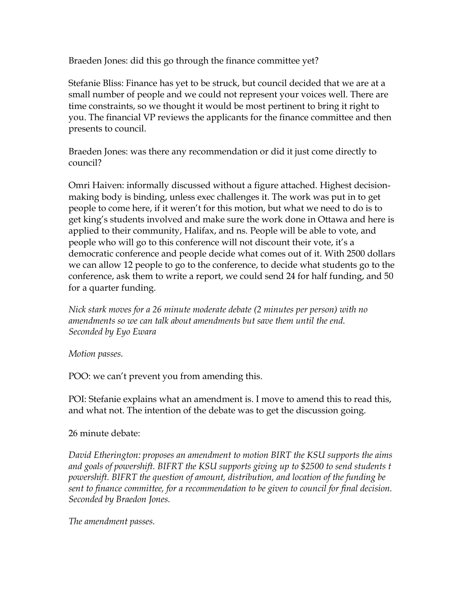Braeden Jones: did this go through the finance committee yet?

Stefanie Bliss: Finance has yet to be struck, but council decided that we are at a small number of people and we could not represent your voices well. There are time constraints, so we thought it would be most pertinent to bring it right to you. The financial VP reviews the applicants for the finance committee and then presents to council.

Braeden Jones: was there any recommendation or did it just come directly to council?

Omri Haiven: informally discussed without a figure attached. Highest decisionmaking body is binding, unless exec challenges it. The work was put in to get people to come here, if it weren't for this motion, but what we need to do is to get king's students involved and make sure the work done in Ottawa and here is applied to their community, Halifax, and ns. People will be able to vote, and people who will go to this conference will not discount their vote, it's a democratic conference and people decide what comes out of it. With 2500 dollars we can allow 12 people to go to the conference, to decide what students go to the conference, ask them to write a report, we could send 24 for half funding, and 50 for a quarter funding.

*Nick stark moves for a 26 minute moderate debate (2 minutes per person) with no amendments so we can talk about amendments but save them until the end. Seconded by Eyo Ewara* 

*Motion passes.*

POO: we can't prevent you from amending this.

POI: Stefanie explains what an amendment is. I move to amend this to read this, and what not. The intention of the debate was to get the discussion going.

#### 26 minute debate:

*David Etherington: proposes an amendment to motion BIRT the KSU supports the aims and goals of powershift. BIFRT the KSU supports giving up to \$2500 to send students t powershift. BIFRT the question of amount, distribution, and location of the funding be sent to finance committee, for a recommendation to be given to council for final decision. Seconded by Braedon Jones.* 

*The amendment passes.*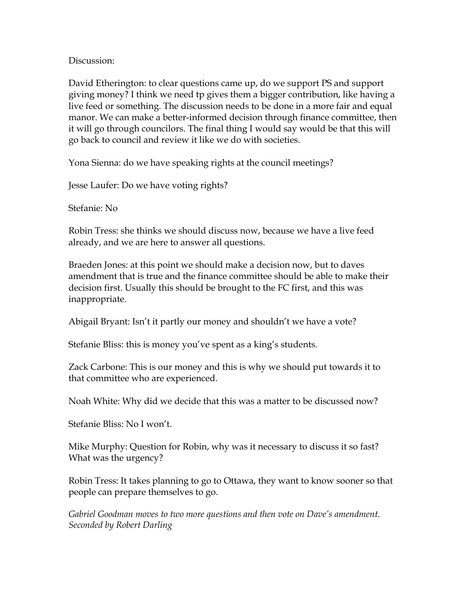Discussion<sup>.</sup>

David Etherington: to clear questions came up, do we support PS and support giving money? I think we need tp gives them a bigger contribution, like having a live feed or something. The discussion needs to be done in a more fair and equal manor. We can make a better-informed decision through finance committee, then it will go through councilors. The final thing I would say would be that this will go back to council and review it like we do with societies.

Yona Sienna: do we have speaking rights at the council meetings?

Jesse Laufer: Do we have voting rights?

Stefanie: No

Robin Tress: she thinks we should discuss now, because we have a live feed already, and we are here to answer all questions.

Braeden Jones: at this point we should make a decision now, but to daves amendment that is true and the finance committee should be able to make their decision first. Usually this should be brought to the FC first, and this was inappropriate.

Abigail Bryant: Isn't it partly our money and shouldn't we have a vote?

Stefanie Bliss: this is money you've spent as a king's students.

Zack Carbone: This is our money and this is why we should put towards it to that committee who are experienced.

Noah White: Why did we decide that this was a matter to be discussed now?

Stefanie Bliss: No I won't.

Mike Murphy: Question for Robin, why was it necessary to discuss it so fast? What was the urgency?

Robin Tress: It takes planning to go to Ottawa, they want to know sooner so that people can prepare themselves to go.

*Gabriel Goodman moves to two more questions and then vote on Dave's amendment. Seconded by Robert Darling*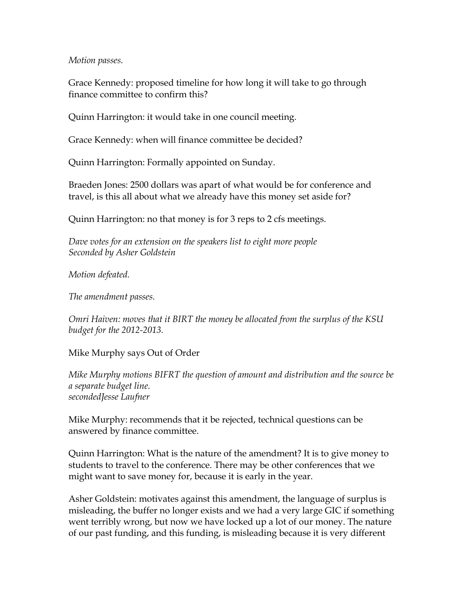*Motion passes.* 

Grace Kennedy: proposed timeline for how long it will take to go through finance committee to confirm this?

Quinn Harrington: it would take in one council meeting.

Grace Kennedy: when will finance committee be decided?

Quinn Harrington: Formally appointed on Sunday.

Braeden Jones: 2500 dollars was apart of what would be for conference and travel, is this all about what we already have this money set aside for?

Quinn Harrington: no that money is for 3 reps to 2 cfs meetings.

*Dave votes for an extension on the speakers list to eight more people Seconded by Asher Goldstein*

*Motion defeated.* 

*The amendment passes.* 

*Omri Haiven: moves that it BIRT the money be allocated from the surplus of the KSU budget for the 2012-2013.* 

Mike Murphy says Out of Order

*Mike Murphy motions BIFRT the question of amount and distribution and the source be a separate budget line. secondedJesse Laufner*

Mike Murphy: recommends that it be rejected, technical questions can be answered by finance committee.

Quinn Harrington: What is the nature of the amendment? It is to give money to students to travel to the conference. There may be other conferences that we might want to save money for, because it is early in the year.

Asher Goldstein: motivates against this amendment, the language of surplus is misleading, the buffer no longer exists and we had a very large GIC if something went terribly wrong, but now we have locked up a lot of our money. The nature of our past funding, and this funding, is misleading because it is very different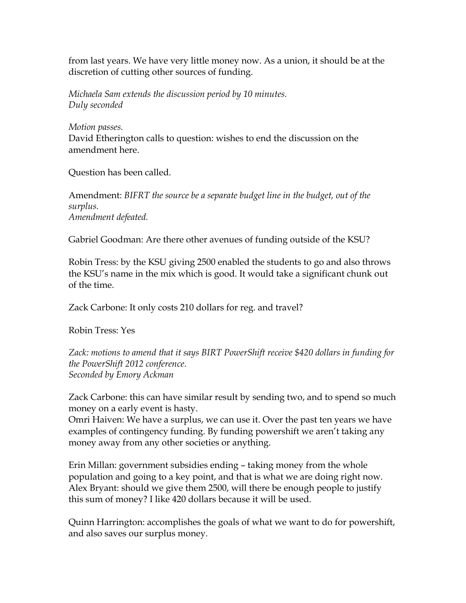from last years. We have very little money now. As a union, it should be at the discretion of cutting other sources of funding.

*Michaela Sam extends the discussion period by 10 minutes. Duly seconded*

*Motion passes.*  David Etherington calls to question: wishes to end the discussion on the amendment here.

Question has been called.

Amendment: *BIFRT the source be a separate budget line in the budget, out of the surplus. Amendment defeated.* 

Gabriel Goodman: Are there other avenues of funding outside of the KSU?

Robin Tress: by the KSU giving 2500 enabled the students to go and also throws the KSU's name in the mix which is good. It would take a significant chunk out of the time.

Zack Carbone: It only costs 210 dollars for reg. and travel?

Robin Tress: Yes

*Zack: motions to amend that it says BIRT PowerShift receive \$420 dollars in funding for the PowerShift 2012 conference. Seconded by Emory Ackman* 

Zack Carbone: this can have similar result by sending two, and to spend so much money on a early event is hasty.

Omri Haiven: We have a surplus, we can use it. Over the past ten years we have examples of contingency funding. By funding powershift we aren't taking any money away from any other societies or anything.

Erin Millan: government subsidies ending – taking money from the whole population and going to a key point, and that is what we are doing right now. Alex Bryant: should we give them 2500, will there be enough people to justify this sum of money? I like 420 dollars because it will be used.

Quinn Harrington: accomplishes the goals of what we want to do for powershift, and also saves our surplus money.